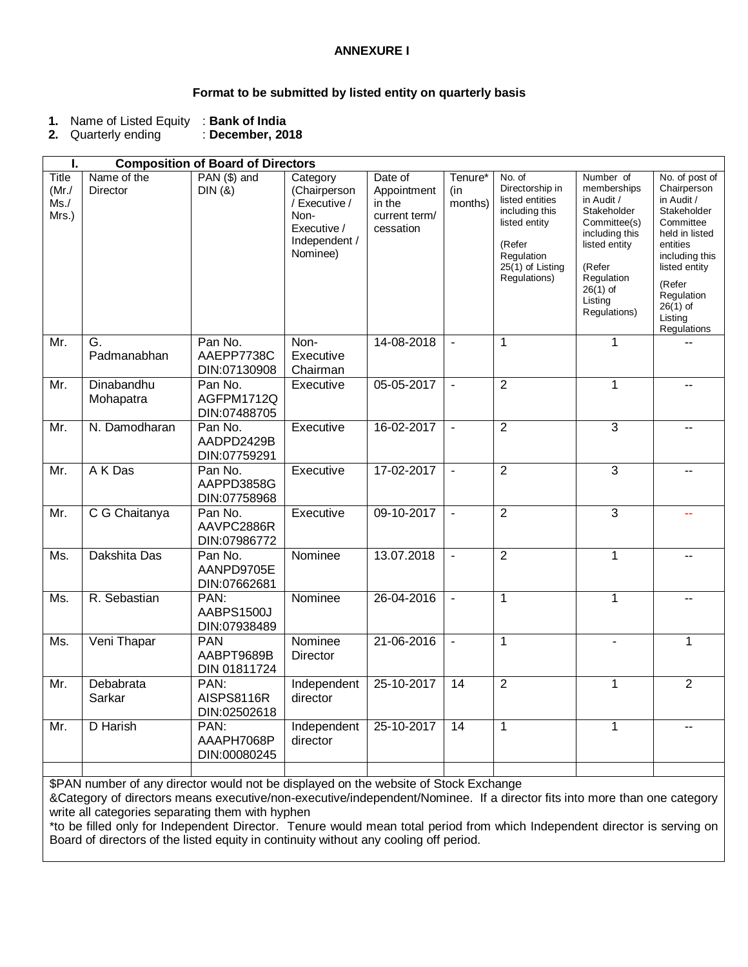## **ANNEXURE I**

## **Format to be submitted by listed entity on quarterly basis**

|  | 1. Name of Listed Equity : Bank of India |  |
|--|------------------------------------------|--|
|--|------------------------------------------|--|

**2.** Quarterly ending : **December, 2018**

| ı.                                  | <b>Composition of Board of Directors</b>                                             |                                          |                                                                                               |                                                                |                           |                                                                                                                                             |                                                                                                                                                                           |                                                                                                                                                                                                          |
|-------------------------------------|--------------------------------------------------------------------------------------|------------------------------------------|-----------------------------------------------------------------------------------------------|----------------------------------------------------------------|---------------------------|---------------------------------------------------------------------------------------------------------------------------------------------|---------------------------------------------------------------------------------------------------------------------------------------------------------------------------|----------------------------------------------------------------------------------------------------------------------------------------------------------------------------------------------------------|
| Title<br>$(Mr$ ./<br>Ms. /<br>Mrs.) | Name of the<br>Director                                                              | PAN (\$) and<br>DIN(8)                   | Category<br>(Chairperson<br>/ Executive /<br>Non-<br>Executive /<br>Independent /<br>Nominee) | Date of<br>Appointment<br>in the<br>current term/<br>cessation | Tenure*<br>(in<br>months) | No. of<br>Directorship in<br>listed entities<br>including this<br>listed entity<br>(Refer<br>Regulation<br>25(1) of Listing<br>Regulations) | Number of<br>memberships<br>in Audit /<br>Stakeholder<br>Committee(s)<br>including this<br>listed entity<br>(Refer<br>Regulation<br>$26(1)$ of<br>Listing<br>Regulations) | No. of post of<br>Chairperson<br>in Audit /<br>Stakeholder<br>Committee<br>held in listed<br>entities<br>including this<br>listed entity<br>(Refer<br>Regulation<br>$26(1)$ of<br>Listing<br>Regulations |
| Mr.                                 | G.<br>Padmanabhan                                                                    | Pan No.<br>AAEPP7738C<br>DIN:07130908    | Non-<br>Executive<br>Chairman                                                                 | 14-08-2018                                                     |                           | $\mathbf 1$                                                                                                                                 | 1                                                                                                                                                                         |                                                                                                                                                                                                          |
| Mr.                                 | Dinabandhu<br>Mohapatra                                                              | Pan No.<br>AGFPM1712Q<br>DIN:07488705    | Executive                                                                                     | 05-05-2017                                                     | $\sim$                    | $\overline{2}$                                                                                                                              | 1                                                                                                                                                                         |                                                                                                                                                                                                          |
| Mr.                                 | N. Damodharan                                                                        | Pan No.<br>AADPD2429B<br>DIN:07759291    | Executive                                                                                     | 16-02-2017                                                     | $\blacksquare$            | $\overline{2}$                                                                                                                              | 3                                                                                                                                                                         |                                                                                                                                                                                                          |
| Mr.                                 | A K Das                                                                              | Pan No.<br>AAPPD3858G<br>DIN:07758968    | Executive                                                                                     | 17-02-2017                                                     | $\sim$                    | $\overline{2}$                                                                                                                              | $\overline{3}$                                                                                                                                                            | $-$                                                                                                                                                                                                      |
| Mr.                                 | C G Chaitanya                                                                        | Pan No.<br>AAVPC2886R<br>DIN:07986772    | Executive                                                                                     | 09-10-2017                                                     | $\blacksquare$            | $\overline{2}$                                                                                                                              | $\overline{3}$                                                                                                                                                            |                                                                                                                                                                                                          |
| Ms.                                 | Dakshita Das                                                                         | Pan No.<br>AANPD9705E<br>DIN:07662681    | Nominee                                                                                       | 13.07.2018                                                     | $\sim$                    | $\overline{2}$                                                                                                                              | 1                                                                                                                                                                         | -−                                                                                                                                                                                                       |
| Ms.                                 | R. Sebastian                                                                         | PAN:<br>AABPS1500J<br>DIN:07938489       | Nominee                                                                                       | 26-04-2016                                                     | $\blacksquare$            | $\mathbf{1}$                                                                                                                                | 1                                                                                                                                                                         |                                                                                                                                                                                                          |
| Ms.                                 | Veni Thapar                                                                          | <b>PAN</b><br>AABPT9689B<br>DIN 01811724 | Nominee<br>Director                                                                           | 21-06-2016                                                     | $\blacksquare$            | $\mathbf{1}$                                                                                                                                | $\blacksquare$                                                                                                                                                            | 1                                                                                                                                                                                                        |
| Mr.                                 | Debabrata<br>Sarkar                                                                  | PAN:<br>AISPS8116R<br>DIN:02502618       | Independent<br>director                                                                       | 25-10-2017                                                     | 14                        | $\overline{2}$                                                                                                                              | 1                                                                                                                                                                         | $\overline{2}$                                                                                                                                                                                           |
| Mr.                                 | D Harish                                                                             | PAN:<br>AAAPH7068P<br>DIN:00080245       | Independent<br>director                                                                       | 25-10-2017                                                     | 14                        | $\mathbf{1}$                                                                                                                                | 1                                                                                                                                                                         | --                                                                                                                                                                                                       |
|                                     | \$PAN number of any director would not be displayed on the website of Stock Exchange |                                          |                                                                                               |                                                                |                           |                                                                                                                                             |                                                                                                                                                                           |                                                                                                                                                                                                          |

&Category of directors means executive/non-executive/independent/Nominee. If a director fits into more than one category write all categories separating them with hyphen

\*to be filled only for Independent Director. Tenure would mean total period from which Independent director is serving on Board of directors of the listed equity in continuity without any cooling off period.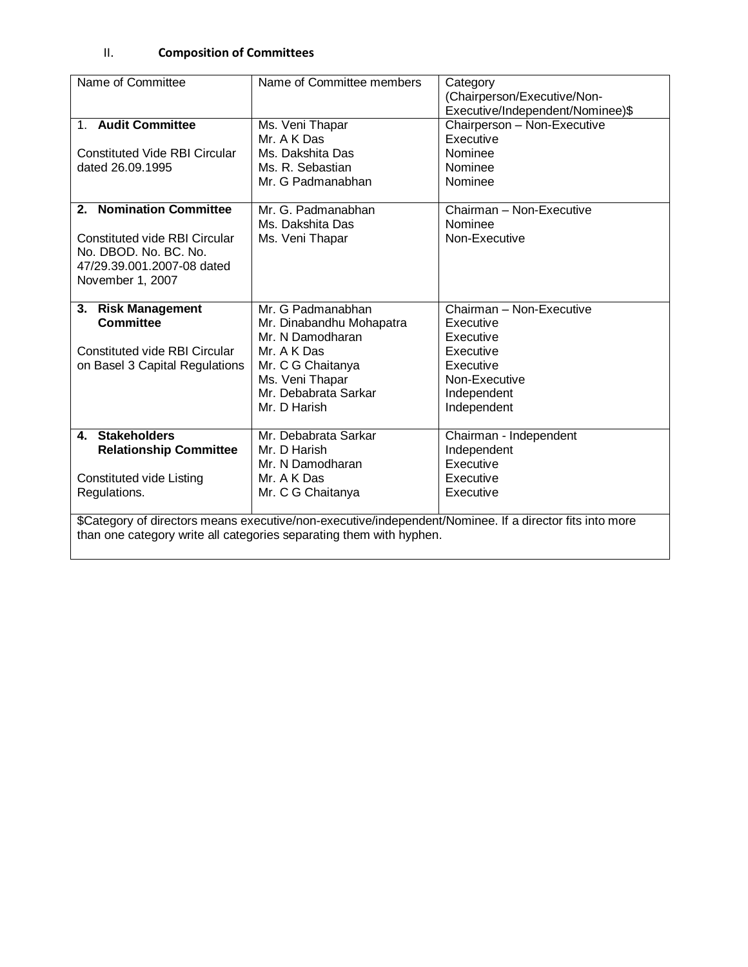## II. **Composition of Committees**

| Name of Committee                                                                                       | Name of Committee members | Category                         |  |  |  |
|---------------------------------------------------------------------------------------------------------|---------------------------|----------------------------------|--|--|--|
|                                                                                                         |                           | (Chairperson/Executive/Non-      |  |  |  |
|                                                                                                         |                           | Executive/Independent/Nominee)\$ |  |  |  |
| 1. Audit Committee                                                                                      | Ms. Veni Thapar           | Chairperson - Non-Executive      |  |  |  |
|                                                                                                         | Mr. A K Das               | Executive                        |  |  |  |
| <b>Constituted Vide RBI Circular</b>                                                                    | Ms. Dakshita Das          | Nominee                          |  |  |  |
| dated 26.09.1995                                                                                        | Ms. R. Sebastian          | Nominee                          |  |  |  |
|                                                                                                         | Mr. G Padmanabhan         | Nominee                          |  |  |  |
|                                                                                                         |                           |                                  |  |  |  |
| 2. Nomination Committee                                                                                 | Mr. G. Padmanabhan        | Chairman - Non-Executive         |  |  |  |
|                                                                                                         | Ms. Dakshita Das          | Nominee                          |  |  |  |
| Constituted vide RBI Circular                                                                           | Ms. Veni Thapar           | Non-Executive                    |  |  |  |
| No. DBOD, No. BC, No.                                                                                   |                           |                                  |  |  |  |
| 47/29.39.001.2007-08 dated                                                                              |                           |                                  |  |  |  |
| November 1, 2007                                                                                        |                           |                                  |  |  |  |
|                                                                                                         |                           |                                  |  |  |  |
| 3. Risk Management                                                                                      | Mr. G Padmanabhan         | Chairman - Non-Executive         |  |  |  |
| <b>Committee</b>                                                                                        | Mr. Dinabandhu Mohapatra  | Executive                        |  |  |  |
|                                                                                                         | Mr. N Damodharan          | Executive                        |  |  |  |
| <b>Constituted vide RBI Circular</b>                                                                    | Mr. A K Das               | Executive                        |  |  |  |
| on Basel 3 Capital Regulations                                                                          | Mr. C G Chaitanya         | Executive                        |  |  |  |
|                                                                                                         | Ms. Veni Thapar           | Non-Executive                    |  |  |  |
|                                                                                                         | Mr. Debabrata Sarkar      | Independent                      |  |  |  |
|                                                                                                         | Mr. D Harish              | Independent                      |  |  |  |
|                                                                                                         |                           |                                  |  |  |  |
| 4. Stakeholders                                                                                         | Mr. Debabrata Sarkar      | Chairman - Independent           |  |  |  |
| <b>Relationship Committee</b>                                                                           | Mr. D Harish              | Independent                      |  |  |  |
|                                                                                                         | Mr. N Damodharan          | Executive                        |  |  |  |
| <b>Constituted vide Listing</b>                                                                         | Mr. A K Das               | Executive                        |  |  |  |
| Regulations.                                                                                            | Mr. C G Chaitanya         | Executive                        |  |  |  |
|                                                                                                         |                           |                                  |  |  |  |
| \$Category of directors means executive/non-executive/independent/Nominee. If a director fits into more |                           |                                  |  |  |  |
| than one category write all categories separating them with hyphen.                                     |                           |                                  |  |  |  |
|                                                                                                         |                           |                                  |  |  |  |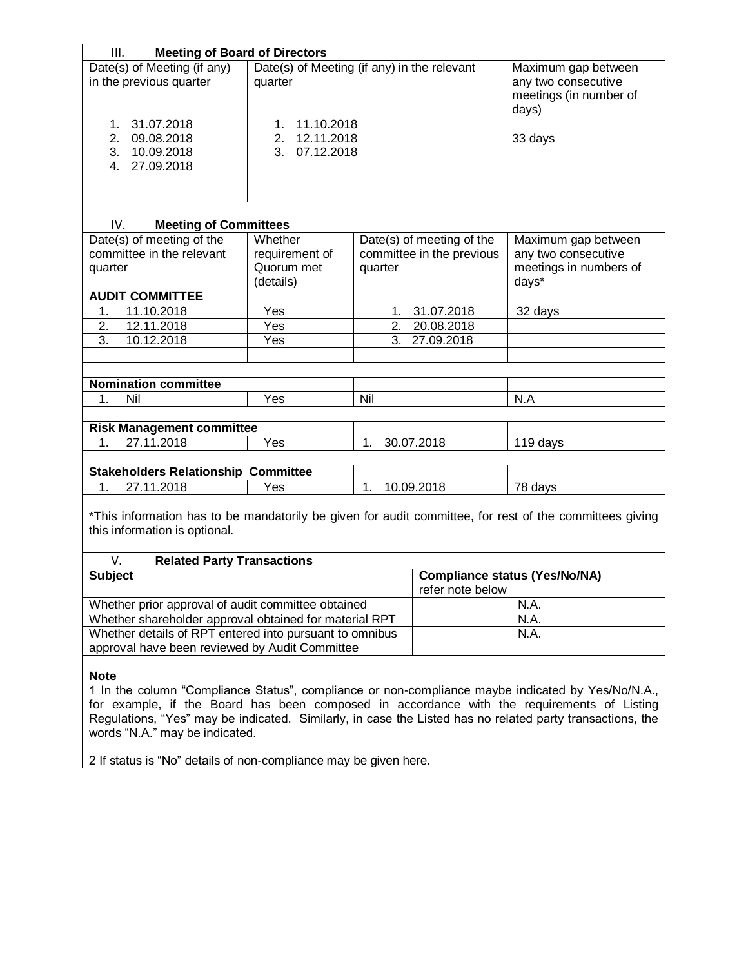| <b>Meeting of Board of Directors</b><br>III.                                                                                             |                                                                      |                                                        |                                                                               |                                            |  |
|------------------------------------------------------------------------------------------------------------------------------------------|----------------------------------------------------------------------|--------------------------------------------------------|-------------------------------------------------------------------------------|--------------------------------------------|--|
| Date(s) of Meeting (if any)<br>in the previous quarter                                                                                   | Date(s) of Meeting (if any) in the relevant<br>quarter               |                                                        | Maximum gap between<br>any two consecutive<br>meetings (in number of<br>days) |                                            |  |
| 31.07.2018<br>1 <sub>1</sub><br>2.<br>09.08.2018<br>10.09.2018<br>3.<br>27.09.2018<br>4.                                                 | 11.10.2018<br>1 <sub>1</sub><br>12.11.2018<br>2.<br>07.12.2018<br>3. |                                                        | 33 days                                                                       |                                            |  |
|                                                                                                                                          |                                                                      |                                                        |                                                                               |                                            |  |
| <b>Meeting of Committees</b><br>IV.                                                                                                      |                                                                      |                                                        |                                                                               |                                            |  |
| Date(s) of meeting of the<br>committee in the relevant                                                                                   | Whether<br>requirement of<br>Quorum met                              | Date(s) of meeting of the<br>committee in the previous |                                                                               | Maximum gap between<br>any two consecutive |  |
| quarter                                                                                                                                  | (details)                                                            | quarter                                                |                                                                               | meetings in numbers of<br>days*            |  |
| <b>AUDIT COMMITTEE</b>                                                                                                                   |                                                                      |                                                        |                                                                               |                                            |  |
| 11.10.2018<br>1.                                                                                                                         | Yes                                                                  | 1.                                                     | 31.07.2018                                                                    | 32 days                                    |  |
| 12.11.2018<br>2.                                                                                                                         | Yes                                                                  | 2.                                                     | 20.08.2018                                                                    |                                            |  |
| 3.<br>10.12.2018                                                                                                                         | Yes                                                                  | 3.                                                     | 27.09.2018                                                                    |                                            |  |
|                                                                                                                                          |                                                                      |                                                        |                                                                               |                                            |  |
|                                                                                                                                          |                                                                      |                                                        |                                                                               |                                            |  |
| <b>Nomination committee</b>                                                                                                              |                                                                      |                                                        |                                                                               |                                            |  |
| 1.                                                                                                                                       | Nil<br>Yes<br>Nil                                                    |                                                        |                                                                               | N.A                                        |  |
|                                                                                                                                          |                                                                      |                                                        |                                                                               |                                            |  |
| <b>Risk Management committee</b>                                                                                                         |                                                                      |                                                        |                                                                               |                                            |  |
| 27.11.2018<br>1.                                                                                                                         | Yes                                                                  | 1.                                                     | 30.07.2018                                                                    | 119 days                                   |  |
|                                                                                                                                          |                                                                      |                                                        |                                                                               |                                            |  |
| <b>Stakeholders Relationship Committee</b>                                                                                               |                                                                      |                                                        |                                                                               |                                            |  |
| 27.11.2018<br>1.                                                                                                                         | Yes                                                                  | 1.<br>10.09.2018                                       |                                                                               | 78 days                                    |  |
| *This information has to be mandatorily be given for audit committee, for rest of the committees giving<br>this information is optional. |                                                                      |                                                        |                                                                               |                                            |  |
| V.<br><b>Related Party Transactions</b>                                                                                                  |                                                                      |                                                        |                                                                               |                                            |  |
| <b>Subject</b>                                                                                                                           |                                                                      |                                                        | <b>Compliance status (Yes/No/NA)</b><br>refer note below                      |                                            |  |
| Whether prior approval of audit committee obtained                                                                                       |                                                                      | N.A.                                                   |                                                                               |                                            |  |
| Whether shareholder approval obtained for material RPT                                                                                   |                                                                      | N.A.                                                   |                                                                               |                                            |  |
| Whether details of RPT entered into pursuant to omnibus                                                                                  |                                                                      |                                                        | N.A.                                                                          |                                            |  |
| approval have been reviewed by Audit Committee                                                                                           |                                                                      |                                                        |                                                                               |                                            |  |
| <b>Note</b><br>1 In the column "Compliance Status", compliance or non-compliance maybe indicated by Yes/No/N.A.,                         |                                                                      |                                                        |                                                                               |                                            |  |

for example, if the Board has been composed in accordance with the requirements of Listing Regulations, "Yes" may be indicated. Similarly, in case the Listed has no related party transactions, the words "N.A." may be indicated.

2 If status is "No" details of non-compliance may be given here.